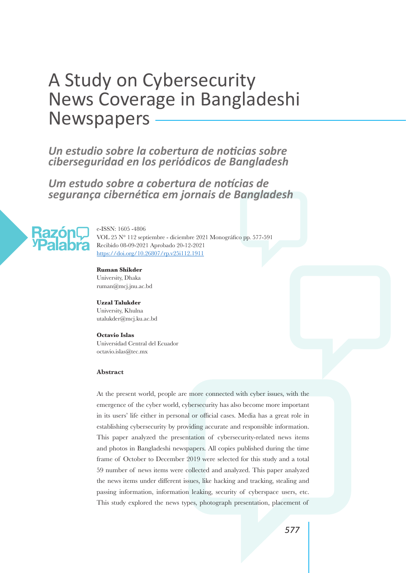# A Study on Cybersecurity News Coverage in Bangladeshi **Newspapers**

 $\overline{a}$ *Un estudio sobre la cobertura de noticias sobre ciberseguridad en los periódicos de Bangladesh* 

*Um estudo sobre a cobertura de notícias de segurança cibernética em jornais de Bangladesh*



e-ISSN: 1605 -4806 VOL 25 N° 112 septiembre - diciembre 2021 Monográfico pp. 577-591 Recibido 08-09-2021 Aprobado 20-12-2021 https://doi.org/10.26807/rp.v25i112.1911

#### **Ruman Shikder**

University, Dhaka ruman@mcj.jnu.ac.bd

#### **Uzzal Talukder**

University, Khulna utalukder@mcj.ku.ac.bd

#### **Octavio Islas**

Universidad Central del Ecuador octavio.islas@tec.mx

#### **Abstract**

At the present world, people are more connected with cyber issues, with the emergence of the cyber world, cybersecurity has also become more important in its users' life either in personal or official cases. Media has a great role in establishing cybersecurity by providing accurate and responsible information. This paper analyzed the presentation of cybersecurity-related news items and photos in Bangladeshi newspapers. All copies published during the time frame of October to December 2019 were selected for this study and a total 59 number of news items were collected and analyzed. This paper analyzed the news items under different issues, like hacking and tracking, stealing and passing information, information leaking, security of cyberspace users, etc. This study explored the news types, photograph presentation, placement of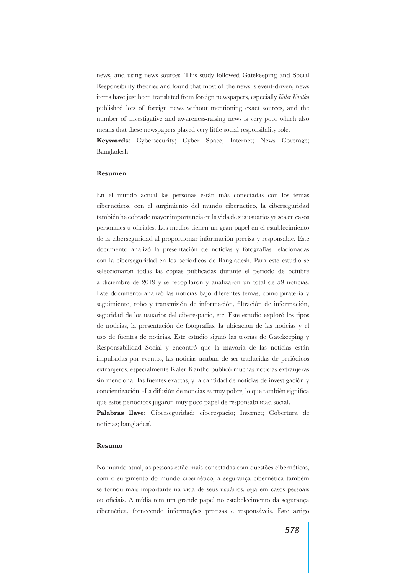news, and using news sources. This study followed Gatekeeping and Social Responsibility theories and found that most of the news is event-driven, news items have just been translated from foreign newspapers, especially *Kaler Kantho* published lots of foreign news without mentioning exact sources, and the number of investigative and awareness-raising news is very poor which also means that these newspapers played very little social responsibility role. **Keywords**: Cybersecurity; Cyber Space; Internet; News Coverage;

Bangladesh.

#### **Resumen**

En el mundo actual las personas están más conectadas con los temas cibernéticos, con el surgimiento del mundo cibernético, la ciberseguridad también ha cobrado mayor importancia en la vida de sus usuarios ya sea en casos personales u oficiales. Los medios tienen un gran papel en el establecimiento de la ciberseguridad al proporcionar información precisa y responsable. Este documento analizó la presentación de noticias y fotografías relacionadas con la ciberseguridad en los periódicos de Bangladesh. Para este estudio se seleccionaron todas las copias publicadas durante el período de octubre a diciembre de 2019 y se recopilaron y analizaron un total de 59 noticias. Este documento analizó las noticias bajo diferentes temas, como piratería y seguimiento, robo y transmisión de información, filtración de información, seguridad de los usuarios del ciberespacio, etc. Este estudio exploró los tipos de noticias, la presentación de fotografías, la ubicación de las noticias y el uso de fuentes de noticias. Este estudio siguió las teorías de Gatekeeping y Responsabilidad Social y encontró que la mayoría de las noticias están impulsadas por eventos, las noticias acaban de ser traducidas de periódicos extranjeros, especialmente Kaler Kantho publicó muchas noticias extranjeras sin mencionar las fuentes exactas, y la cantidad de noticias de investigación y concientización. -La difusión de noticias es muy pobre, lo que también significa que estos periódicos jugaron muy poco papel de responsabilidad social.

Palabras llave: Ciberseguridad; ciberespacio; Internet; Cobertura de noticias; bangladesí.

#### **Resumo**

No mundo atual, as pessoas estão mais conectadas com questões cibernéticas, com o surgimento do mundo cibernético, a segurança cibernética também se tornou mais importante na vida de seus usuários, seja em casos pessoais ou oficiais. A mídia tem um grande papel no estabelecimento da segurança cibernética, fornecendo informações precisas e responsáveis. Este artigo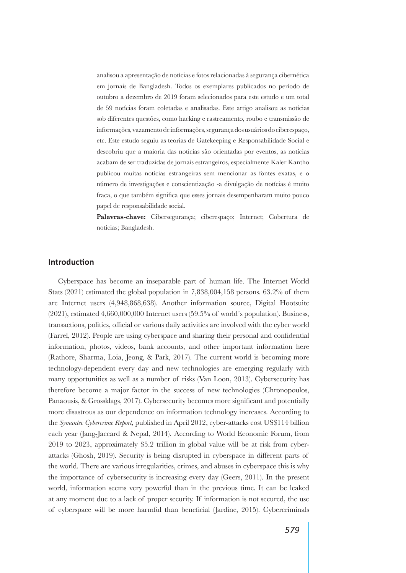analisou a apresentação de notícias e fotos relacionadas à segurança cibernética em jornais de Bangladesh. Todos os exemplares publicados no período de outubro a dezembro de 2019 foram selecionados para este estudo e um total de 59 notícias foram coletadas e analisadas. Este artigo analisou as notícias sob diferentes questões, como hacking e rastreamento, roubo e transmissão de informações, vazamento de informações, segurança dos usuários do ciberespaço, etc. Este estudo seguiu as teorias de Gatekeeping e Responsabilidade Social e descobriu que a maioria das notícias são orientadas por eventos, as notícias acabam de ser traduzidas de jornais estrangeiros, especialmente Kaler Kantho publicou muitas notícias estrangeiras sem mencionar as fontes exatas, e o número de investigações e conscientização -a divulgação de notícias é muito fraca, o que também significa que esses jornais desempenharam muito pouco papel de responsabilidade social.

**Palavras-chave:** Cibersegurança; ciberespaço; Internet; Cobertura de notícias; Bangladesh.

# **Introduction**

Cyberspace has become an inseparable part of human life. The Internet World Stats (2021) estimated the global population in 7,838,004,158 persons. 63.2% of them are Internet users (4,948,868,638). Another information source, Digital Hootsuite (2021), estimated 4,660,000,000 Internet users (59.5% of world´s population). Business, transactions, politics, official or various daily activities are involved with the cyber world (Farrel, 2012). People are using cyberspace and sharing their personal and confidential information, photos, videos, bank accounts, and other important information here (Rathore, Sharma, Loia, Jeong, & Park, 2017). The current world is becoming more technology-dependent every day and new technologies are emerging regularly with many opportunities as well as a number of risks (Van Loon, 2013). Cybersecurity has therefore become a major factor in the success of new technologies (Chronopoulos, Panaousis, & Grossklags, 2017). Cybersecurity becomes more significant and potentially more disastrous as our dependence on information technology increases. According to the *Symantec Cybercrime Report,* published in April 2012, cyber-attacks cost US\$114 billion each year (Jang-Jaccard & Nepal, 2014). According to World Economic Forum, from 2019 to 2023, approximately \$5.2 trillion in global value will be at risk from cyberattacks (Ghosh, 2019). Security is being disrupted in cyberspace in different parts of the world. There are various irregularities, crimes, and abuses in cyberspace this is why the importance of cybersecurity is increasing every day (Geers, 2011). In the present world, information seems very powerful than in the previous time. It can be leaked at any moment due to a lack of proper security. If information is not secured, the use of cyberspace will be more harmful than beneficial (Jardine, 2015). Cybercriminals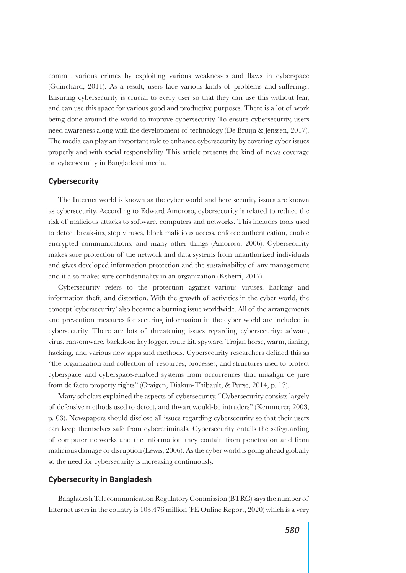commit various crimes by exploiting various weaknesses and flaws in cyberspace (Guinchard, 2011). As a result, users face various kinds of problems and sufferings. Ensuring cybersecurity is crucial to every user so that they can use this without fear, and can use this space for various good and productive purposes. There is a lot of work being done around the world to improve cybersecurity. To ensure cybersecurity, users need awareness along with the development of technology (De Bruijn & Jenssen, 2017). The media can play an important role to enhance cybersecurity by covering cyber issues properly and with social responsibility. This article presents the kind of news coverage on cybersecurity in Bangladeshi media.

## **Cybersecurity**

The Internet world is known as the cyber world and here security issues are known as cybersecurity. According to Edward Amoroso, cybersecurity is related to reduce the risk of malicious attacks to software, computers and networks. This includes tools used to detect break-ins, stop viruses, block malicious access, enforce authentication, enable encrypted communications, and many other things (Amoroso, 2006). Cybersecurity makes sure protection of the network and data systems from unauthorized individuals and gives developed information protection and the sustainability of any management and it also makes sure confidentiality in an organization (Kshetri, 2017).

Cybersecurity refers to the protection against various viruses, hacking and information theft, and distortion. With the growth of activities in the cyber world, the concept 'cybersecurity' also became a burning issue worldwide. All of the arrangements and prevention measures for securing information in the cyber world are included in cybersecurity. There are lots of threatening issues regarding cybersecurity: adware, virus, ransomware, backdoor, key logger, route kit, spyware, Trojan horse, warm, fishing, hacking, and various new apps and methods. Cybersecurity researchers defined this as "the organization and collection of resources, processes, and structures used to protect cyberspace and cyberspace-enabled systems from occurrences that misalign de jure from de facto property rights" (Craigen, Diakun-Thibault, & Purse, 2014, p. 17).

Many scholars explained the aspects of cybersecurity. "Cybersecurity consists largely of defensive methods used to detect, and thwart would-be intruders" (Kemmerer, 2003, p. 03). Newspapers should disclose all issues regarding cybersecurity so that their users can keep themselves safe from cybercriminals. Cybersecurity entails the safeguarding of computer networks and the information they contain from penetration and from malicious damage or disruption (Lewis, 2006). As the cyber world is going ahead globally so the need for cybersecurity is increasing continuously.

## **Cybersecurity in Bangladesh**

Bangladesh Telecommunication Regulatory Commission (BTRC) says the number of Internet users in the country is 103.476 million (FE Online Report, 2020) which is a very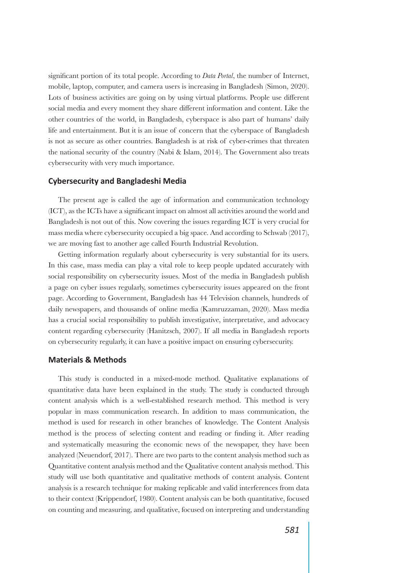significant portion of its total people. According to *Data Portal*, the number of Internet, mobile, laptop, computer, and camera users is increasing in Bangladesh (Simon, 2020). Lots of business activities are going on by using virtual platforms. People use different social media and every moment they share different information and content. Like the other countries of the world, in Bangladesh, cyberspace is also part of humans' daily life and entertainment. But it is an issue of concern that the cyberspace of Bangladesh is not as secure as other countries. Bangladesh is at risk of cyber-crimes that threaten the national security of the country (Nabi & Islam, 2014). The Government also treats cybersecurity with very much importance.

## **Cybersecurity and Bangladeshi Media**

The present age is called the age of information and communication technology (ICT), as the ICTs have a significant impact on almost all activities around the world and Bangladesh is not out of this. Now covering the issues regarding ICT is very crucial for mass media where cybersecurity occupied a big space. And according to Schwab (2017), we are moving fast to another age called Fourth Industrial Revolution.

Getting information regularly about cybersecurity is very substantial for its users. In this case, mass media can play a vital role to keep people updated accurately with social responsibility on cybersecurity issues. Most of the media in Bangladesh publish a page on cyber issues regularly, sometimes cybersecurity issues appeared on the front page. According to Government, Bangladesh has 44 Television channels, hundreds of daily newspapers, and thousands of online media (Kamruzzaman, 2020). Mass media has a crucial social responsibility to publish investigative, interpretative, and advocacy content regarding cybersecurity (Hanitzsch, 2007). If all media in Bangladesh reports on cybersecurity regularly, it can have a positive impact on ensuring cybersecurity.

## **Materials & Methods**

This study is conducted in a mixed-mode method. Qualitative explanations of quantitative data have been explained in the study. The study is conducted through content analysis which is a well-established research method. This method is very popular in mass communication research. In addition to mass communication, the method is used for research in other branches of knowledge. The Content Analysis method is the process of selecting content and reading or finding it. After reading and systematically measuring the economic news of the newspaper, they have been analyzed (Neuendorf, 2017). There are two parts to the content analysis method such as Quantitative content analysis method and the Qualitative content analysis method. This study will use both quantitative and qualitative methods of content analysis. Content analysis is a research technique for making replicable and valid interferences from data to their context (Krippendorf, 1980). Content analysis can be both quantitative, focused on counting and measuring, and qualitative, focused on interpreting and understanding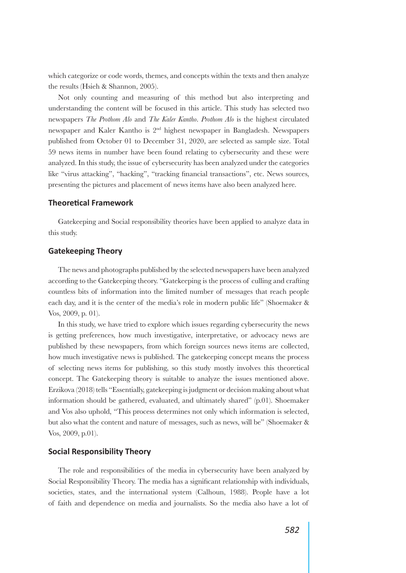which categorize or code words, themes, and concepts within the texts and then analyze the results (Hsieh & Shannon, 2005).

Not only counting and measuring of this method but also interpreting and understanding the content will be focused in this article. This study has selected two newspapers *The Prothom Alo* and *The Kaler Kantho*. *Prothom Alo* is the highest circulated newspaper and Kaler Kantho is 2nd highest newspaper in Bangladesh. Newspapers published from October 01 to December 31, 2020, are selected as sample size. Total 59 news items in number have been found relating to cybersecurity and these were analyzed. In this study, the issue of cybersecurity has been analyzed under the categories like "virus attacking", "hacking", "tracking financial transactions", etc. News sources, presenting the pictures and placement of news items have also been analyzed here.

## **Theoretical Framework**

Gatekeeping and Social responsibility theories have been applied to analyze data in this study.

# **Gatekeeping Theory**

The news and photographs published by the selected newspapers have been analyzed according to the Gatekeeping theory. "Gatekeeping is the process of culling and crafting countless bits of information into the limited number of messages that reach people each day, and it is the center of the media's role in modern public life" (Shoemaker & Vos, 2009, p. 01).

In this study, we have tried to explore which issues regarding cybersecurity the news is getting preferences, how much investigative, interpretative, or advocacy news are published by these newspapers, from which foreign sources news items are collected, how much investigative news is published. The gatekeeping concept means the process of selecting news items for publishing, so this study mostly involves this theoretical concept. The Gatekeeping theory is suitable to analyze the issues mentioned above. Erzikova (2018) tells "Essentially, gatekeeping is judgment or decision making about what information should be gathered, evaluated, and ultimately shared" (p.01). Shoemaker and Vos also uphold, "This process determines not only which information is selected, but also what the content and nature of messages, such as news, will be" (Shoemaker & Vos, 2009, p.01).

# **Social Responsibility Theory**

The role and responsibilities of the media in cybersecurity have been analyzed by Social Responsibility Theory. The media has a significant relationship with individuals, societies, states, and the international system (Calhoun, 1988). People have a lot of faith and dependence on media and journalists. So the media also have a lot of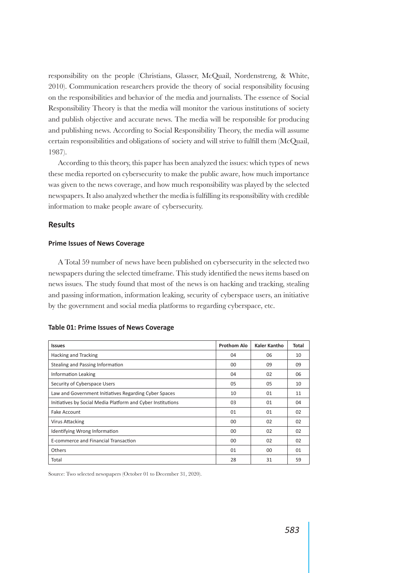responsibility on the people (Christians, Glasser, McQuail, Nordenstreng, & White, 2010). Communication researchers provide the theory of social responsibility focusing on the responsibilities and behavior of the media and journalists. The essence of Social Responsibility Theory is that the media will monitor the various institutions of society and publish objective and accurate news. The media will be responsible for producing and publishing news. According to Social Responsibility Theory, the media will assume certain responsibilities and obligations of society and will strive to fulfill them (McQuail, 1987).

According to this theory, this paper has been analyzed the issues: which types of news these media reported on cybersecurity to make the public aware, how much importance was given to the news coverage, and how much responsibility was played by the selected newspapers. It also analyzed whether the media is fulfilling its responsibility with credible information to make people aware of cybersecurity.

## **Results**

## **Prime Issues of News Coverage**

A Total 59 number of news have been published on cybersecurity in the selected two newspapers during the selected timeframe. This study identified the news items based on news issues. The study found that most of the news is on hacking and tracking, stealing and passing information, information leaking, security of cyberspace users, an initiative by the government and social media platforms to regarding cyberspace, etc.

| <b>Issues</b>                                               | <b>Prothom Alo</b> | Kaler Kantho | Total |
|-------------------------------------------------------------|--------------------|--------------|-------|
| <b>Hacking and Tracking</b>                                 | 04                 | 06           | 10    |
| Stealing and Passing Information                            | 00                 | 09           | 09    |
| Information Leaking                                         | 04                 | 02           | 06    |
| Security of Cyberspace Users                                | 05                 | 05           | 10    |
| Law and Government Initiatives Regarding Cyber Spaces       | 10                 | 01           | 11    |
| Initiatives by Social Media Platform and Cyber Institutions | 03                 | 01           | 04    |
| Fake Account                                                | 01                 | 01           | 02    |
| <b>Virus Attacking</b>                                      | 00                 | 02           | 02    |
| Identifying Wrong Information                               | 00                 | 02           | 02    |
| E-commerce and Financial Transaction                        | 00                 | 02           | 02    |
| Others                                                      | 01                 | $00 \,$      | 01    |
| Total                                                       | 28                 | 31           | 59    |

#### **Table 01: Prime Issues of News Coverage**

Source: Two selected newspapers (October 01 to December 31, 2020).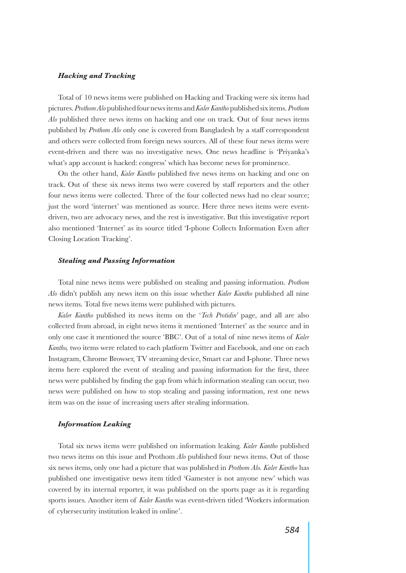#### *Hacking and Tracking*

Total of 10 news items were published on Hacking and Tracking were six items had pictures. *Prothom Alo* published four news items and *Kaler Kantho* published six items. *Prothom Alo* published three news items on hacking and one on track. Out of four news items published by *Prothom Alo* only one is covered from Bangladesh by a staff correspondent and others were collected from foreign news sources. All of these four news items were event-driven and there was no investigative news. One news headline is 'Priyanka's what's app account is hacked: congress' which has become news for prominence.

On the other hand, *Kaler Kantho* published five news items on hacking and one on track. Out of these six news items two were covered by staff reporters and the other four news items were collected. Three of the four collected news had no clear source; just the word 'internet' was mentioned as source. Here three news items were eventdriven, two are advocacy news, and the rest is investigative. But this investigative report also mentioned 'Internet' as its source titled 'I-phone Collects Information Even after Closing Location Tracking'.

#### *Stealing and Passing Information*

Total nine news items were published on stealing and passing information. *Prothom Alo* didn't publish any news item on this issue whether *Kaler Kantho* published all nine news items. Total five news items were published with pictures.

*Kaler Kantho* published its news items on the '*Tech Protidin'* page, and all are also collected from abroad, in eight news items it mentioned 'Internet' as the source and in only one case it mentioned the source 'BBC'. Out of a total of nine news items of *Kaler Kantho,* two items were related to each platform Twitter and Facebook, and one on each Instagram, Chrome Browser, TV streaming device, Smart car and I-phone. Three news items here explored the event of stealing and passing information for the first, three news were published by finding the gap from which information stealing can occur, two news were published on how to stop stealing and passing information, rest one news item was on the issue of increasing users after stealing information.

## *Information Leaking*

Total six news items were published on information leaking. *Kaler Kantho* published two news items on this issue and Prothom *Alo* published four news items. Out of those six news items, only one had a picture that was published in *Prothom Alo. Kaler Kantho* has published one investigative news item titled 'Gamester is not anyone new' which was covered by its internal reporter, it was published on the sports page as it is regarding sports issues. Another item of *Kaler Kantho* was event-driven titled 'Workers information of cybersecurity institution leaked in online'.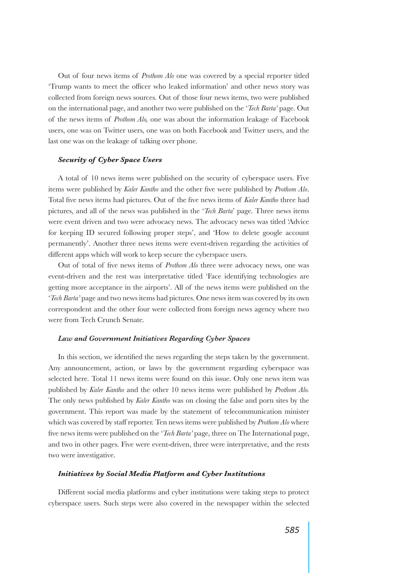Out of four news items of *Prothom Alo* one was covered by a special reporter titled 'Trump wants to meet the officer who leaked information' and other news story was collected from foreign news sources. Out of those four news items, two were published on the international page, and another two were published on the '*Tech Barta'* page. Out of the news items of *Prothom Alo,* one was about the information leakage of Facebook users, one was on Twitter users, one was on both Facebook and Twitter users, and the last one was on the leakage of talking over phone.

## *Security of Cyber Space Users*

A total of 10 news items were published on the security of cyberspace users. Five items were published by *Kaler Kantho* and the other five were published by *Prothom Alo*. Total five news items had pictures. Out of the five news items of *Kaler Kantho* three had pictures, and all of the news was published in the '*Tech Barta*' page. Three news items were event driven and two were advocacy news. The advocacy news was titled 'Advice for keeping ID secured following proper steps', and 'How to delete google account permanently'. Another three news items were event-driven regarding the activities of different apps which will work to keep secure the cyberspace users.

Out of total of five news items of *Prothom Alo* three were advocacy news, one was event-driven and the rest was interpretative titled 'Face identifying technologies are getting more acceptance in the airports'. All of the news items were published on the '*Tech Barta'* page and two news items had pictures. One news item was covered by its own correspondent and the other four were collected from foreign news agency where two were from Tech Crunch Senate.

## *Law and Government Initiatives Regarding Cyber Spaces*

In this section, we identified the news regarding the steps taken by the government. Any announcement, action, or laws by the government regarding cyberspace was selected here. Total 11 news items were found on this issue. Only one news item was published by *Kaler Kantho* and the other 10 news items were published by *Prothom Alo.* The only news published by *Kaler Kantho* was on closing the false and porn sites by the government. This report was made by the statement of telecommunication minister which was covered by staff reporter. Ten news items were published by *Prothom Alo* where five news items were published on the '*Tech Barta'* page, three on The International page, and two in other pages. Five were event-driven, three were interpretative, and the rests two were investigative.

#### *Initiatives by Social Media Platform and Cyber Institutions*

Different social media platforms and cyber institutions were taking steps to protect cyberspace users. Such steps were also covered in the newspaper within the selected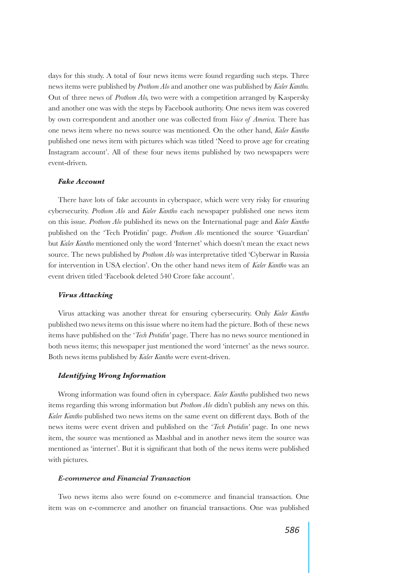days for this study. A total of four news items were found regarding such steps. Three news items were published by *Prothom Alo* and another one was published by *Kaler Kantho.* Out of three news of *Prothom Alo,* two were with a competition arranged by Kaspersky and another one was with the steps by Facebook authority. One news item was covered by own correspondent and another one was collected from *Voice of America.* There has one news item where no news source was mentioned. On the other hand, *Kaler Kantho* published one news item with pictures which was titled 'Need to prove age for creating Instagram account'. All of these four news items published by two newspapers were event-driven.

#### *Fake Account*

There have lots of fake accounts in cyberspace, which were very risky for ensuring cybersecurity. *Prothom Alo* and *Kaler Kantho* each newspaper published one news item on this issue. *Prothom Alo* published its news on the International page and *Kaler Kantho* published on the 'Tech Protidin' page. *Prothom Alo* mentioned the source 'Guardian' but *Kaler Kantho* mentioned only the word 'Internet' which doesn't mean the exact news source. The news published by *Prothom Alo* was interpretative titled 'Cyberwar in Russia for intervention in USA election'. On the other hand news item of *Kaler Kantho* was an event driven titled 'Facebook deleted 540 Crore fake account'.

#### *Virus Attacking*

Virus attacking was another threat for ensuring cybersecurity. Only *Kaler Kantho* published two news items on this issue where no item had the picture. Both of these news items have published on the '*Tech Protidin'* page. There has no news source mentioned in both news items; this newspaper just mentioned the word 'internet' as the news source. Both news items published by *Kaler Kantho* were event-driven.

## *Identifying Wrong Information*

Wrong information was found often in cyberspace. *Kaler Kantho* published two news items regarding this wrong information but *Prothom Alo* didn't publish any news on this. *Kaler Kantho* published two news items on the same event on different days. Both of the news items were event driven and published on the '*Tech Protidin'* page. In one news item, the source was mentioned as Mashbal and in another news item the source was mentioned as 'internet'. But it is significant that both of the news items were published with pictures.

## *E-commerce and Financial Transaction*

Two news items also were found on e-commerce and financial transaction. One item was on e-commerce and another on financial transactions. One was published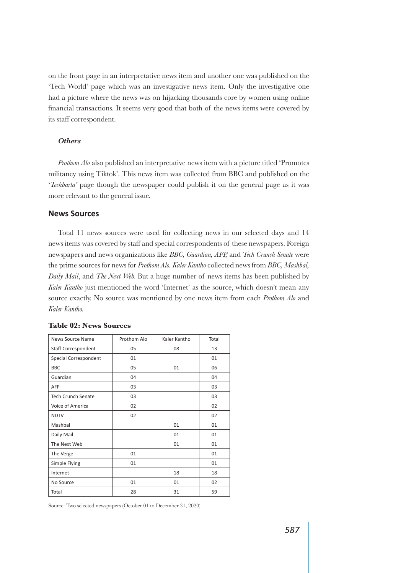on the front page in an interpretative news item and another one was published on the 'Tech World' page which was an investigative news item. Only the investigative one had a picture where the news was on hijacking thousands core by women using online financial transactions. It seems very good that both of the news items were covered by its staff correspondent.

## *Others*

*Prothom Alo* also published an interpretative news item with a picture titled 'Promotes militancy using Tiktok'. This news item was collected from BBC and published on the '*Techbarta'* page though the newspaper could publish it on the general page as it was more relevant to the general issue.

## **News Sources**

Total 11 news sources were used for collecting news in our selected days and 14 news items was covered by staff and special correspondents of these newspapers. Foreign newspapers and news organizations like *BBC, Guardian, AFP,* and *Tech Crunch Senate* were the prime sources for news for *Prothom Alo. Kaler Kantho* collected news from *BBC, Mashbal, Daily Mail*, and *The Next Web.* But a huge number of news items has been published by *Kaler Kantho* just mentioned the word 'Internet' as the source, which doesn't mean any source exactly. No source was mentioned by one news item from each *Prothom Alo* and *Kaler Kantho.*

| News Source Name           | Prothom Alo | Kaler Kantho | Total |
|----------------------------|-------------|--------------|-------|
| <b>Staff Correspondent</b> | 05          | 08           | 13    |
| Special Correspondent      | 01          |              | 01    |
| <b>BBC</b>                 | 05          | 01           | 06    |
| Guardian                   | 04          |              | 04    |
| AFP                        | 03          |              | 03    |
| <b>Tech Crunch Senate</b>  | 03          |              | 03    |
| Voice of America           | 02          |              | 02    |
| <b>NDTV</b>                | 02          |              | 02    |
| Mashbal                    |             | 01           | 01    |
| Daily Mail                 |             | 01           | 01    |
| The Next Web               |             | 01           | 01    |
| The Verge                  | 01          |              | 01    |
| Simple Flying              | 01          |              | 01    |
| Internet                   |             | 18           | 18    |
| No Source                  | 01          | 01           | 02    |
| Total                      | 28          | 31           | 59    |

# **Table 02: News Sources**

Source: Two selected newspapers (October 01 to December 31, 2020)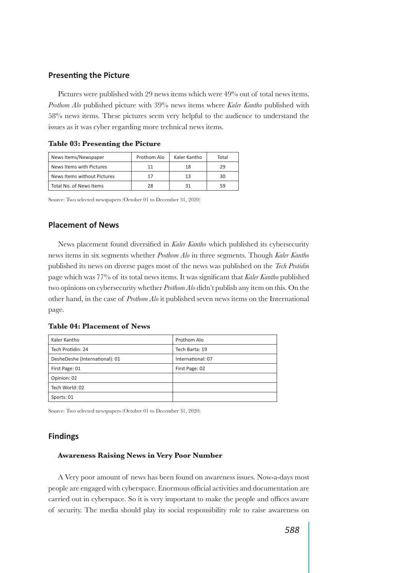# **Presenting the Picture**

Pictures were published with 29 news items which were 49% out of total news items. *Prothom Alo* published picture with 39% news items where *Kaler Kantho* published with 58% news items. These pictures seem very helpful to the audience to understand the issues as it was cyber regarding more technical news items.

|  | Table 03: Presenting the Picture |  |  |
|--|----------------------------------|--|--|
|  |                                  |  |  |

**Table 03: Presenting the Picture**

| News Items/Newspaper        | Prothom Alo | Kaler Kantho | Total |
|-----------------------------|-------------|--------------|-------|
| News Items with Pictures    |             | 18           | 29    |
| News Items without Pictures |             | 13           | 30    |
| Total No. of News Items     | 28          |              | 59    |

Source: Two selected newspapers (October 01 to December 31, 2020)

# **Placement of News**

News placement found diversified in *Kaler Kantho* which published its cybersecurity news items in six segments whether *Prothom Alo* in three segments. Though *Kaler Kantho* published its news on diverse pages most of the news was published on the *Tech Protidin* page which was 77% of its total news items. It was significant that *Kaler Kantho* published two opinions on cybersecurity whether *Prothom Alo* didn't publish any item on this. On the other hand, in the case of *Prothom Alo* it published seven news items on the International page.

**Table 04: Placement of News**

| Kaler Kantho                   | Prothom Alo       |
|--------------------------------|-------------------|
| Tech Protidin: 24              | Tech Barta: 19    |
| DesheDeshe (International): 01 | International: 07 |
| First Page: 01                 | First Page: 02    |
| Opinion: 02                    |                   |
| Tech World: 02                 |                   |
| Sports: 01                     |                   |

Source: Two selected newspapers (October 01 to December 31, 2020)

# **Findings**

## **Awareness Raising News in Very Poor Number**

A Very poor amount of news has been found on awareness issues. Now-a-days most people are engaged with cyberspace. Enormous official activities and documentation are carried out in cyberspace. So it is very important to make the people and offices aware of security. The media should play its social responsibility role to raise awareness on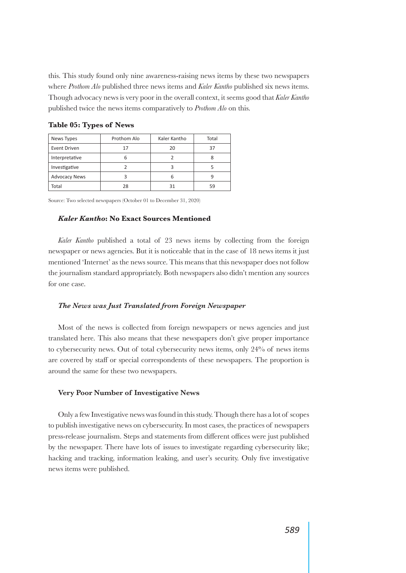this. This study found only nine awareness-raising news items by these two newspapers where *Prothom Alo* published three news items and *Kaler Kantho* published six news items. Though advocacy news is very poor in the overall context, it seems good that *Kaler Kantho* published twice the news items comparatively to *Prothom Alo* on this.

| News Types           | Prothom Alo | Kaler Kantho | Total |
|----------------------|-------------|--------------|-------|
| Event Driven         | 17          | 20           | 37    |
| Interpretative       | n           |              |       |
| Investigative        |             |              |       |
| <b>Advocacy News</b> |             |              |       |
| Total                | 28          |              | 59    |

**Table 05: Types of News**

Source: Two selected newspapers (October 01 to December 31, 2020)

## *Kaler Kantho***: No Exact Sources Mentioned**

*Kaler Kantho* published a total of 23 news items by collecting from the foreign newspaper or news agencies. But it is noticeable that in the case of 18 news items it just mentioned 'Internet' as the news source. This means that this newspaper does not follow the journalism standard appropriately. Both newspapers also didn't mention any sources for one case.

## *The News was Just Translated from Foreign Newspaper*

Most of the news is collected from foreign newspapers or news agencies and just translated here. This also means that these newspapers don't give proper importance to cybersecurity news. Out of total cybersecurity news items, only 24% of news items are covered by staff or special correspondents of these newspapers. The proportion is around the same for these two newspapers.

#### **Very Poor Number of Investigative News**

Only a few Investigative news was found in this study. Though there has a lot of scopes to publish investigative news on cybersecurity. In most cases, the practices of newspapers press-release journalism. Steps and statements from different offices were just published by the newspaper. There have lots of issues to investigate regarding cybersecurity like; hacking and tracking, information leaking, and user's security. Only five investigative news items were published.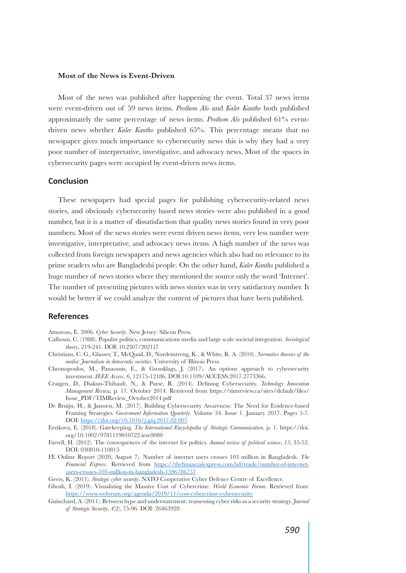#### **Most of the News is Event-Driven**

Most of the news was published after happening the event. Total 37 news items were event-driven out of 59 news items. *Prothom Alo* and *Kaler Kantho* both published approximately the same percentage of news items. *Prothom Alo* published 61% eventdriven news whether *Kaler Kantho* published 65%. This percentage means that no newspaper gives much importance to cybersecurity news this is why they had a very poor number of interpretative, investigative, and advocacy news. Most of the spaces in cybersecurity pages were occupied by event-driven news items.

## **Conclusion**

These newspapers had special pages for publishing cybersecurity-related news stories, and obviously cybersecurity based news stories were also published in a good number, but it is a matter of dissatisfaction that quality news stories found in very poor numbers. Most of the news stories were event driven news items, very less number were investigative, interpretative, and advocacy news items. A high number of the news was collected from foreign newspapers and news agencies which also had no relevance to its prime readers who are Bangladeshi people. On the other hand, *Kaler Kantho* published a huge number of news stories where they mentioned the source only the word 'Internet'. The number of presenting pictures with news stories was in very satisfactory number. It would be better if we could analyze the content of pictures that have been published.

# **References**

Amoroso, E. 2006. *Cyber Security*. New Jersey: Silicon Press.

- Calhoun, C. (1988). Populist politics, communications media and large scale societal integration. *Sociological theory*, 219-241. DOI: 10.2307/202117
- Christians, C. G., Glasser, T., McQuail, D., Nordenstreng, K., & White, R. A. (2010). *Normative theories of the media: Journalism in democratic societies*. University of Illinois Press.
- Chronopoulos, M., Panaousis, E., & Grossklags, J. (2017). An options approach to cybersecurity investment. *IEEE Access*, *6*, 12175-12186. DOI:10.1109/ACCESS.2017.2773366.
- Craigen, D., Diakun-Thibault, N., & Purse, R. (2014). Defining Cybersecurity. *Technology Innovation Management Review,* p. 17. October 2014. Retrieved from https://timreview.ca/sites/default/files/ Issue\_PDF/TIMReview\_October2014.pdf
- De Bruijn, H., & Janssen, M. (2017). Building Cybersecurity Awareness: The Need for Evidence-based Framing Strategies. *Government Information Quarterly*. Volume 34. Issue 1. January 2017. Pages 1-7. DOI: https://doi.org/10.1016/j.giq.2017.02.007
- Erzikova, E. (2018). Gatekeeping. *The International Encyclopedia of Strategic Communication*, p. 1. https://doi. org/10.1002/9781119010722.iesc0080
- Farrell, H. (2012). The consequences of the internet for politics. *Annual review of political science*, *15*, 35-52. DOI: 030810-110815
- FE Online Report (2020, August 7). Number of internet users crosses 103 million in Bangladesh. *The Financial Express*. Retrieved from https://thefinancialexpress.com.bd/trade/number-of-internetusers-crosses-103-million-in-bangladesh-1596786757

Geers, K. (2011). *Strategic cyber security*. NATO Cooperative Cyber Defence Centre of Excellence.

- Ghosh, I. (2019). Visualizing the Massive Cost of Cybercrime*. World Economic Forum*. Retrieved from: https://www.weforum.org/agenda/2019/11/cost-cybercrime-cybersecurity
- Guinchard, A. (2011). Between hype and understatement: reassessing cyber risks as a security strategy. *Journal of Strategic Security*, *4*(2), 75-96. DOI: 26463928